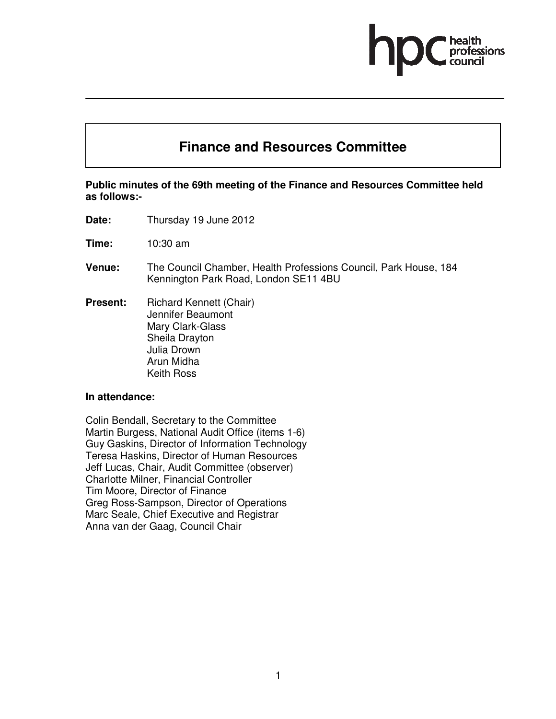# **Finance and Resources Committee**

# **Public minutes of the 69th meeting of the Finance and Resources Committee held as follows:-**

- **Date:** Thursday 19 June 2012
- **Time:** 10:30 am
- **Venue:** The Council Chamber, Health Professions Council, Park House, 184 Kennington Park Road, London SE11 4BU
- **Present:** Richard Kennett (Chair) Jennifer Beaumont Mary Clark-Glass Sheila Drayton Julia Drown Arun Midha Keith Ross

#### **In attendance:**

Colin Bendall, Secretary to the Committee Martin Burgess, National Audit Office (items 1-6) Guy Gaskins, Director of Information Technology Teresa Haskins, Director of Human Resources Jeff Lucas, Chair, Audit Committee (observer) Charlotte Milner, Financial Controller Tim Moore, Director of Finance Greg Ross-Sampson, Director of Operations Marc Seale, Chief Executive and Registrar Anna van der Gaag, Council Chair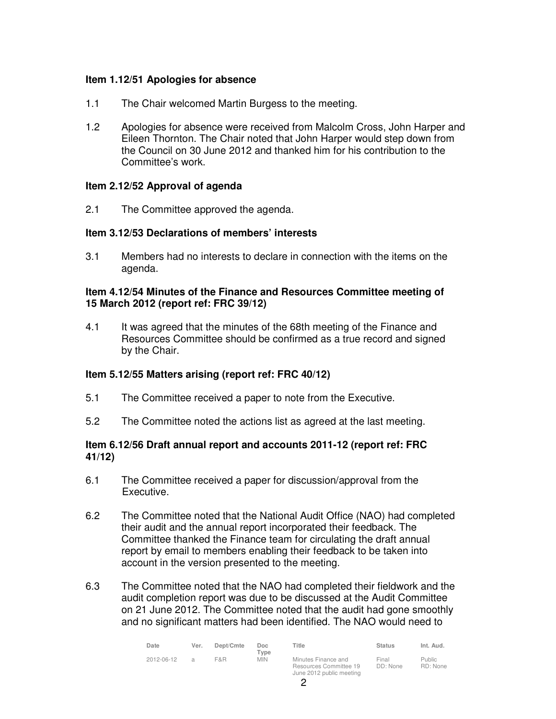# **Item 1.12/51 Apologies for absence**

- 1.1 The Chair welcomed Martin Burgess to the meeting.
- 1.2 Apologies for absence were received from Malcolm Cross, John Harper and Eileen Thornton. The Chair noted that John Harper would step down from the Council on 30 June 2012 and thanked him for his contribution to the Committee's work.

#### **Item 2.12/52 Approval of agenda**

2.1 The Committee approved the agenda.

#### **Item 3.12/53 Declarations of members' interests**

3.1 Members had no interests to declare in connection with the items on the agenda.

#### **Item 4.12/54 Minutes of the Finance and Resources Committee meeting of 15 March 2012 (report ref: FRC 39/12)**

4.1 It was agreed that the minutes of the 68th meeting of the Finance and Resources Committee should be confirmed as a true record and signed by the Chair.

# **Item 5.12/55 Matters arising (report ref: FRC 40/12)**

- 5.1 The Committee received a paper to note from the Executive.
- 5.2 The Committee noted the actions list as agreed at the last meeting.

# **Item 6.12/56 Draft annual report and accounts 2011-12 (report ref: FRC 41/12)**

- 6.1 The Committee received a paper for discussion/approval from the Executive.
- 6.2 The Committee noted that the National Audit Office (NAO) had completed their audit and the annual report incorporated their feedback. The Committee thanked the Finance team for circulating the draft annual report by email to members enabling their feedback to be taken into account in the version presented to the meeting.
- 6.3 The Committee noted that the NAO had completed their fieldwork and the audit completion report was due to be discussed at the Audit Committee on 21 June 2012. The Committee noted that the audit had gone smoothly and no significant matters had been identified. The NAO would need to

| Date       | Ver.          | Dept/Cmte | Doc.<br>Type | Title                                                                     | <b>Status</b>     | Int. Aud.                 |
|------------|---------------|-----------|--------------|---------------------------------------------------------------------------|-------------------|---------------------------|
| 2012-06-12 | $\mathcal{A}$ | F&R       | <b>MIN</b>   | Minutes Finance and<br>Resources Committee 19<br>June 2012 public meeting | Final<br>DD: None | <b>Public</b><br>RD: None |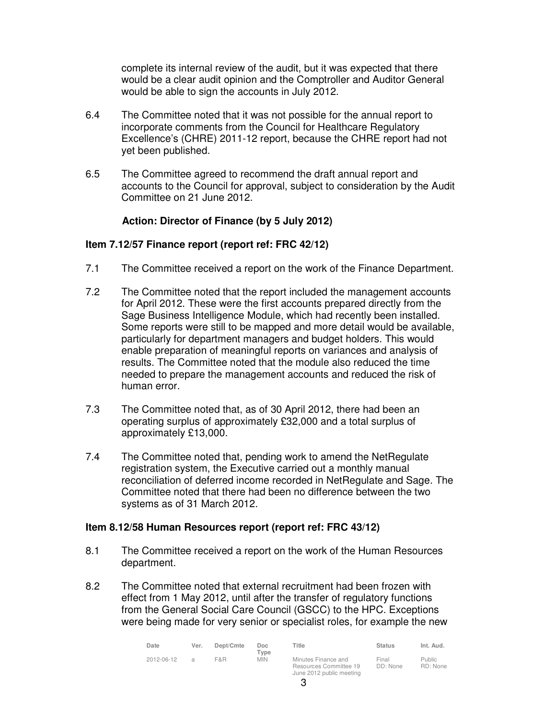complete its internal review of the audit, but it was expected that there would be a clear audit opinion and the Comptroller and Auditor General would be able to sign the accounts in July 2012.

- 6.4 The Committee noted that it was not possible for the annual report to incorporate comments from the Council for Healthcare Regulatory Excellence's (CHRE) 2011-12 report, because the CHRE report had not yet been published.
- 6.5 The Committee agreed to recommend the draft annual report and accounts to the Council for approval, subject to consideration by the Audit Committee on 21 June 2012.

# **Action: Director of Finance (by 5 July 2012)**

#### **Item 7.12/57 Finance report (report ref: FRC 42/12)**

- 7.1 The Committee received a report on the work of the Finance Department.
- 7.2 The Committee noted that the report included the management accounts for April 2012. These were the first accounts prepared directly from the Sage Business Intelligence Module, which had recently been installed. Some reports were still to be mapped and more detail would be available, particularly for department managers and budget holders. This would enable preparation of meaningful reports on variances and analysis of results. The Committee noted that the module also reduced the time needed to prepare the management accounts and reduced the risk of human error.
- 7.3 The Committee noted that, as of 30 April 2012, there had been an operating surplus of approximately £32,000 and a total surplus of approximately £13,000.
- 7.4 The Committee noted that, pending work to amend the NetRegulate registration system, the Executive carried out a monthly manual reconciliation of deferred income recorded in NetRegulate and Sage. The Committee noted that there had been no difference between the two systems as of 31 March 2012.

#### **Item 8.12/58 Human Resources report (report ref: FRC 43/12)**

- 8.1 The Committee received a report on the work of the Human Resources department.
- 8.2 The Committee noted that external recruitment had been frozen with effect from 1 May 2012, until after the transfer of regulatory functions from the General Social Care Council (GSCC) to the HPC. Exceptions were being made for very senior or specialist roles, for example the new

| Date       | Ver. | Dept/Cmte | Doc<br>$T$ vpe | Title                                                                     | <b>Status</b>     | Int. Aud.                 |
|------------|------|-----------|----------------|---------------------------------------------------------------------------|-------------------|---------------------------|
| 2012-06-12 | Э    | F&R       | <b>MIN</b>     | Minutes Finance and<br>Resources Committee 19<br>June 2012 public meeting | Final<br>DD: None | <b>Public</b><br>RD: None |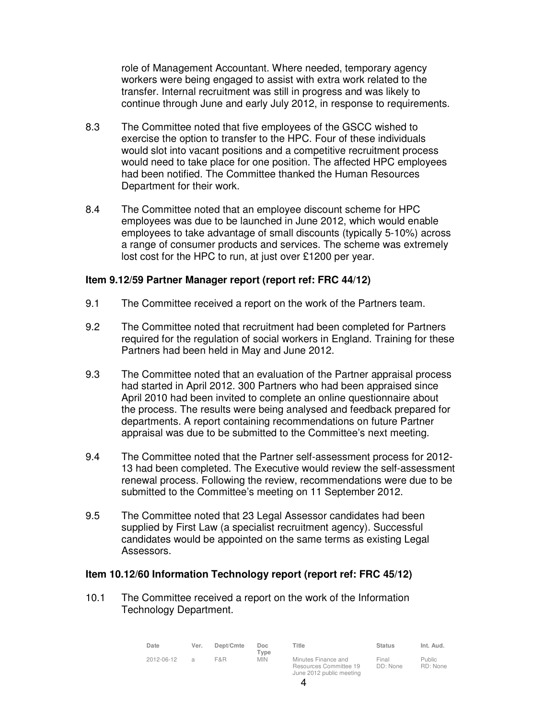role of Management Accountant. Where needed, temporary agency workers were being engaged to assist with extra work related to the transfer. Internal recruitment was still in progress and was likely to continue through June and early July 2012, in response to requirements.

- 8.3 The Committee noted that five employees of the GSCC wished to exercise the option to transfer to the HPC. Four of these individuals would slot into vacant positions and a competitive recruitment process would need to take place for one position. The affected HPC employees had been notified. The Committee thanked the Human Resources Department for their work.
- 8.4 The Committee noted that an employee discount scheme for HPC employees was due to be launched in June 2012, which would enable employees to take advantage of small discounts (typically 5-10%) across a range of consumer products and services. The scheme was extremely lost cost for the HPC to run, at just over £1200 per year.

#### **Item 9.12/59 Partner Manager report (report ref: FRC 44/12)**

- 9.1 The Committee received a report on the work of the Partners team.
- 9.2 The Committee noted that recruitment had been completed for Partners required for the regulation of social workers in England. Training for these Partners had been held in May and June 2012.
- 9.3 The Committee noted that an evaluation of the Partner appraisal process had started in April 2012. 300 Partners who had been appraised since April 2010 had been invited to complete an online questionnaire about the process. The results were being analysed and feedback prepared for departments. A report containing recommendations on future Partner appraisal was due to be submitted to the Committee's next meeting.
- 9.4 The Committee noted that the Partner self-assessment process for 2012- 13 had been completed. The Executive would review the self-assessment renewal process. Following the review, recommendations were due to be submitted to the Committee's meeting on 11 September 2012.
- 9.5 The Committee noted that 23 Legal Assessor candidates had been supplied by First Law (a specialist recruitment agency). Successful candidates would be appointed on the same terms as existing Legal Assessors.

#### **Item 10.12/60 Information Technology report (report ref: FRC 45/12)**

10.1 The Committee received a report on the work of the Information Technology Department.

| Date       | Ver.          | Dept/Cmte | Doc.<br>$T$ vpe | Title                                                                     | <b>Status</b>     | Int. Aud.                 |
|------------|---------------|-----------|-----------------|---------------------------------------------------------------------------|-------------------|---------------------------|
| 2012-06-12 | $\mathcal{A}$ | F&R       | <b>MIN</b>      | Minutes Finance and<br>Resources Committee 19<br>June 2012 public meeting | Final<br>DD: None | <b>Public</b><br>RD: None |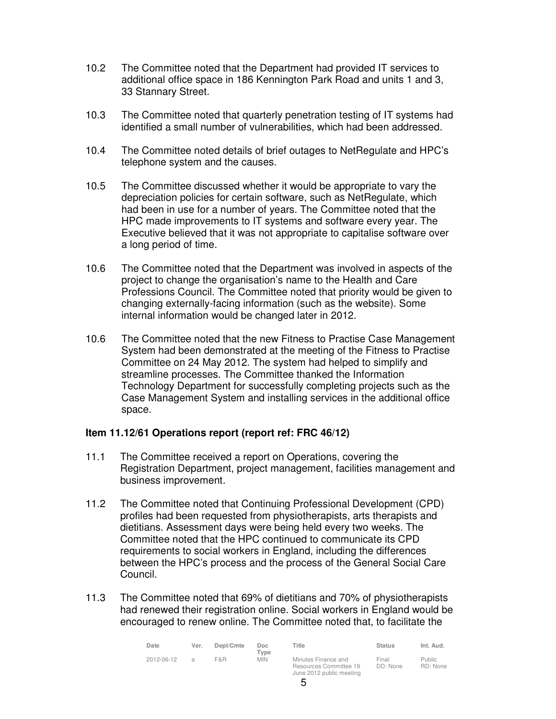- 10.2 The Committee noted that the Department had provided IT services to additional office space in 186 Kennington Park Road and units 1 and 3, 33 Stannary Street.
- 10.3 The Committee noted that quarterly penetration testing of IT systems had identified a small number of vulnerabilities, which had been addressed.
- 10.4 The Committee noted details of brief outages to NetRegulate and HPC's telephone system and the causes.
- 10.5 The Committee discussed whether it would be appropriate to vary the depreciation policies for certain software, such as NetRegulate, which had been in use for a number of years. The Committee noted that the HPC made improvements to IT systems and software every year. The Executive believed that it was not appropriate to capitalise software over a long period of time.
- 10.6 The Committee noted that the Department was involved in aspects of the project to change the organisation's name to the Health and Care Professions Council. The Committee noted that priority would be given to changing externally-facing information (such as the website). Some internal information would be changed later in 2012.
- 10.6 The Committee noted that the new Fitness to Practise Case Management System had been demonstrated at the meeting of the Fitness to Practise Committee on 24 May 2012. The system had helped to simplify and streamline processes. The Committee thanked the Information Technology Department for successfully completing projects such as the Case Management System and installing services in the additional office space.

# **Item 11.12/61 Operations report (report ref: FRC 46/12)**

- 11.1 The Committee received a report on Operations, covering the Registration Department, project management, facilities management and business improvement.
- 11.2 The Committee noted that Continuing Professional Development (CPD) profiles had been requested from physiotherapists, arts therapists and dietitians. Assessment days were being held every two weeks. The Committee noted that the HPC continued to communicate its CPD requirements to social workers in England, including the differences between the HPC's process and the process of the General Social Care Council.
- 11.3 The Committee noted that 69% of dietitians and 70% of physiotherapists had renewed their registration online. Social workers in England would be encouraged to renew online. The Committee noted that, to facilitate the

| Date       | Ver.          | Dept/Cmte | Doc<br>$T$ vpe | Title                                                                     | <b>Status</b>     | Int. Aud.                 |
|------------|---------------|-----------|----------------|---------------------------------------------------------------------------|-------------------|---------------------------|
| 2012-06-12 | $\mathcal{A}$ | F&R       | <b>MIN</b>     | Minutes Finance and<br>Resources Committee 19<br>June 2012 public meeting | Final<br>DD: None | <b>Public</b><br>RD: None |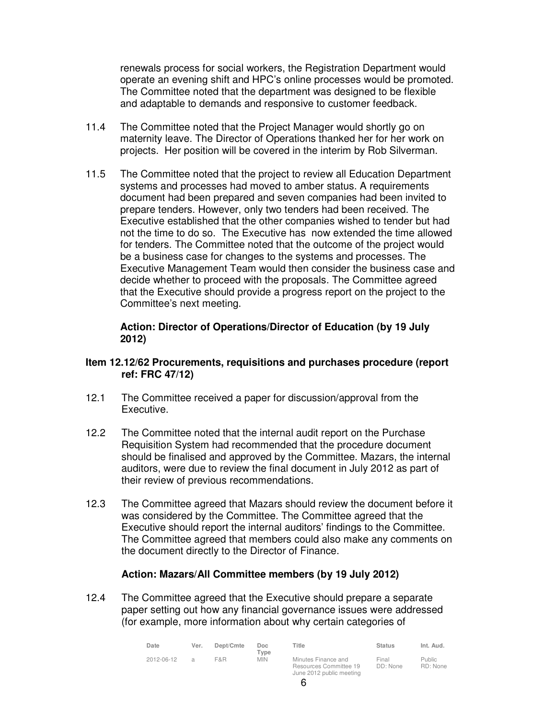renewals process for social workers, the Registration Department would operate an evening shift and HPC's online processes would be promoted. The Committee noted that the department was designed to be flexible and adaptable to demands and responsive to customer feedback.

- 11.4 The Committee noted that the Project Manager would shortly go on maternity leave. The Director of Operations thanked her for her work on projects. Her position will be covered in the interim by Rob Silverman.
- 11.5 The Committee noted that the project to review all Education Department systems and processes had moved to amber status. A requirements document had been prepared and seven companies had been invited to prepare tenders. However, only two tenders had been received. The Executive established that the other companies wished to tender but had not the time to do so. The Executive has now extended the time allowed for tenders. The Committee noted that the outcome of the project would be a business case for changes to the systems and processes. The Executive Management Team would then consider the business case and decide whether to proceed with the proposals. The Committee agreed that the Executive should provide a progress report on the project to the Committee's next meeting.

#### **Action: Director of Operations/Director of Education (by 19 July 2012)**

# **Item 12.12/62 Procurements, requisitions and purchases procedure (report ref: FRC 47/12)**

- 12.1 The Committee received a paper for discussion/approval from the Executive.
- 12.2 The Committee noted that the internal audit report on the Purchase Requisition System had recommended that the procedure document should be finalised and approved by the Committee. Mazars, the internal auditors, were due to review the final document in July 2012 as part of their review of previous recommendations.
- 12.3 The Committee agreed that Mazars should review the document before it was considered by the Committee. The Committee agreed that the Executive should report the internal auditors' findings to the Committee. The Committee agreed that members could also make any comments on the document directly to the Director of Finance.

# **Action: Mazars/All Committee members (by 19 July 2012)**

12.4 The Committee agreed that the Executive should prepare a separate paper setting out how any financial governance issues were addressed (for example, more information about why certain categories of

| Date       | Ver.          | Dept/Cmte | Doc.<br>$T$ ype | Title                                                                     | <b>Status</b>     | Int. Aud.                 |
|------------|---------------|-----------|-----------------|---------------------------------------------------------------------------|-------------------|---------------------------|
| 2012-06-12 | $\mathcal{L}$ | F&R       | <b>MIN</b>      | Minutes Finance and<br>Resources Committee 19<br>June 2012 public meeting | Final<br>DD: None | <b>Public</b><br>RD: None |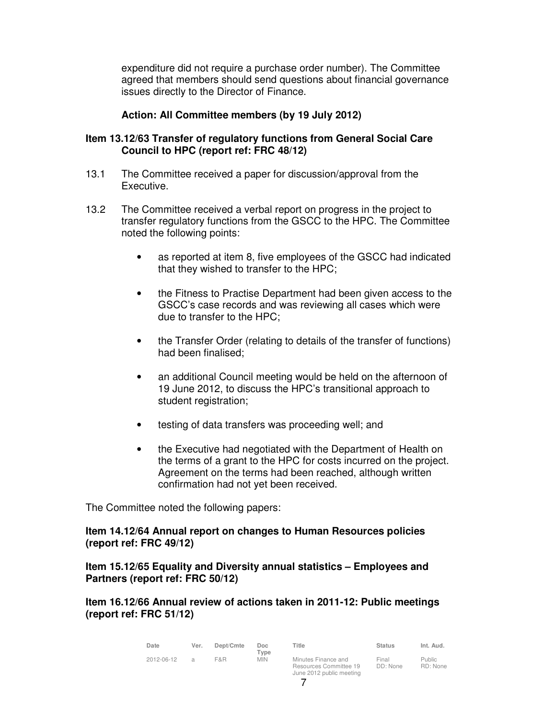expenditure did not require a purchase order number). The Committee agreed that members should send questions about financial governance issues directly to the Director of Finance.

# **Action: All Committee members (by 19 July 2012)**

#### **Item 13.12/63 Transfer of regulatory functions from General Social Care Council to HPC (report ref: FRC 48/12)**

- 13.1 The Committee received a paper for discussion/approval from the Executive.
- 13.2 The Committee received a verbal report on progress in the project to transfer regulatory functions from the GSCC to the HPC. The Committee noted the following points:
	- as reported at item 8, five employees of the GSCC had indicated that they wished to transfer to the HPC;
	- the Fitness to Practise Department had been given access to the GSCC's case records and was reviewing all cases which were due to transfer to the HPC;
	- the Transfer Order (relating to details of the transfer of functions) had been finalised;
	- an additional Council meeting would be held on the afternoon of 19 June 2012, to discuss the HPC's transitional approach to student registration;
	- testing of data transfers was proceeding well; and
	- the Executive had negotiated with the Department of Health on the terms of a grant to the HPC for costs incurred on the project. Agreement on the terms had been reached, although written confirmation had not yet been received.

The Committee noted the following papers:

#### **Item 14.12/64 Annual report on changes to Human Resources policies (report ref: FRC 49/12)**

#### **Item 15.12/65 Equality and Diversity annual statistics – Employees and Partners (report ref: FRC 50/12)**

**Item 16.12/66 Annual review of actions taken in 2011-12: Public meetings (report ref: FRC 51/12)** 

| Date       | Ver.           | Dept/Cmte | Doc<br>$T$ vpe | Title                                                                     | <b>Status</b>     | Int. Aud.           |
|------------|----------------|-----------|----------------|---------------------------------------------------------------------------|-------------------|---------------------|
| 2012-06-12 | $\overline{a}$ | F&R       | MIN.           | Minutes Finance and<br>Resources Committee 19<br>June 2012 public meeting | Final<br>DD: None | Public.<br>RD: None |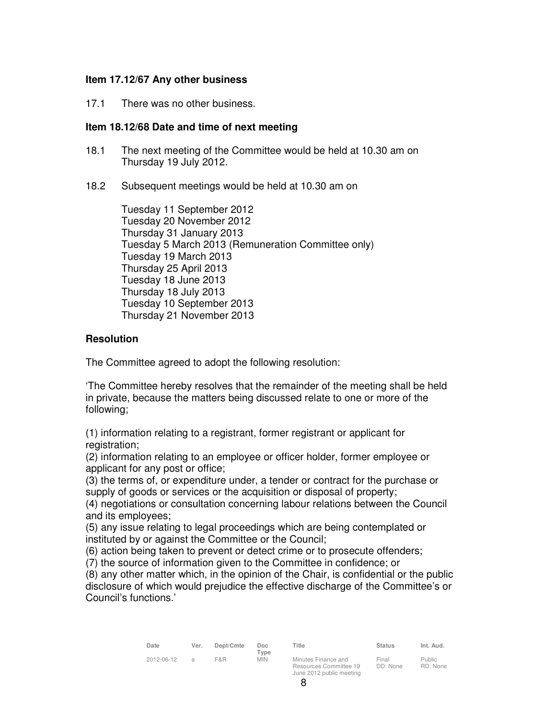#### **Item 17.12/67 Any other business**

17.1 There was no other business.

#### **Item 18.12/68 Date and time of next meeting**

- 18.1 The next meeting of the Committee would be held at 10.30 am on Thursday 19 July 2012.
- 18.2 Subsequent meetings would be held at 10.30 am on

Tuesday 11 September 2012 Tuesday 20 November 2012 Thursday 31 January 2013 Tuesday 5 March 2013 (Remuneration Committee only) Tuesday 19 March 2013 Thursday 25 April 2013 Tuesday 18 June 2013 Thursday 18 July 2013 Tuesday 10 September 2013 Thursday 21 November 2013

# **Resolution**

The Committee agreed to adopt the following resolution:

'The Committee hereby resolves that the remainder of the meeting shall be held in private, because the matters being discussed relate to one or more of the following;

(1) information relating to a registrant, former registrant or applicant for registration;

(2) information relating to an employee or officer holder, former employee or applicant for any post or office;

(3) the terms of, or expenditure under, a tender or contract for the purchase or supply of goods or services or the acquisition or disposal of property;

(4) negotiations or consultation concerning labour relations between the Council and its employees;

(5) any issue relating to legal proceedings which are being contemplated or instituted by or against the Committee or the Council;

(6) action being taken to prevent or detect crime or to prosecute offenders;

(7) the source of information given to the Committee in confidence; or

(8) any other matter which, in the opinion of the Chair, is confidential or the public disclosure of which would prejudice the effective discharge of the Committee's or Council's functions.'

| Date       | Ver.          | Dept/Cmte | Doc.<br>Tvpe | Title                                                                     | <b>Status</b>     | Int. Aud.                 |
|------------|---------------|-----------|--------------|---------------------------------------------------------------------------|-------------------|---------------------------|
| 2012-06-12 | $\mathcal{L}$ | F&R       | <b>MIN</b>   | Minutes Finance and<br>Resources Committee 19<br>June 2012 public meeting | Final<br>DD: None | <b>Public</b><br>RD: None |